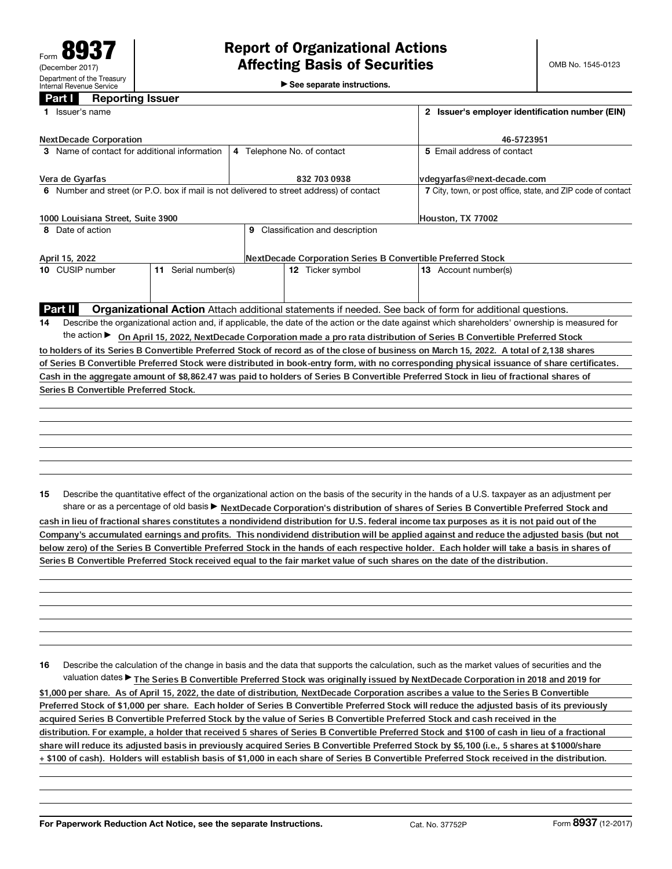$\blacktriangleright$  See separate instructions.

## Part **I** Reporting Issuer

|                                              | 1 Issuer's name                              |                                                                                                                                                 | 2 Issuer's employer identification number (EIN) |                                                                                         |                                                                                                                                                 |  |  |
|----------------------------------------------|----------------------------------------------|-------------------------------------------------------------------------------------------------------------------------------------------------|-------------------------------------------------|-----------------------------------------------------------------------------------------|-------------------------------------------------------------------------------------------------------------------------------------------------|--|--|
|                                              | <b>NextDecade Corporation</b>                |                                                                                                                                                 | 46-5723951                                      |                                                                                         |                                                                                                                                                 |  |  |
| 3 Name of contact for additional information |                                              |                                                                                                                                                 |                                                 | 4 Telephone No. of contact                                                              | 5 Email address of contact                                                                                                                      |  |  |
|                                              | Vera de Gyarfas                              |                                                                                                                                                 |                                                 | 832 703 0938                                                                            | vdegyarfas@next-decade.com                                                                                                                      |  |  |
|                                              |                                              |                                                                                                                                                 |                                                 | 6 Number and street (or P.O. box if mail is not delivered to street address) of contact | 7 City, town, or post office, state, and ZIP code of contact                                                                                    |  |  |
| 1000 Louisiana Street, Suite 3900            |                                              |                                                                                                                                                 |                                                 |                                                                                         | Houston, TX 77002                                                                                                                               |  |  |
|                                              | 8 Date of action                             |                                                                                                                                                 |                                                 | 9 Classification and description                                                        |                                                                                                                                                 |  |  |
| April 15, 2022                               |                                              |                                                                                                                                                 |                                                 |                                                                                         | <b>NextDecade Corporation Series B Convertible Preferred Stock</b>                                                                              |  |  |
|                                              | 10 CUSIP number<br>11 Serial number(s)       |                                                                                                                                                 |                                                 | 12 Ticker symbol                                                                        | 13 Account number(s)                                                                                                                            |  |  |
|                                              |                                              |                                                                                                                                                 |                                                 |                                                                                         |                                                                                                                                                 |  |  |
|                                              | Part II                                      |                                                                                                                                                 |                                                 |                                                                                         | Organizational Action Attach additional statements if needed. See back of form for additional questions.                                        |  |  |
| 14                                           |                                              | Describe the organizational action and, if applicable, the date of the action or the date against which shareholders' ownership is measured for |                                                 |                                                                                         |                                                                                                                                                 |  |  |
|                                              |                                              | the action ► On April 15, 2022, NextDecade Corporation made a pro rata distribution of Series B Convertible Preferred Stock                     |                                                 |                                                                                         |                                                                                                                                                 |  |  |
|                                              |                                              |                                                                                                                                                 |                                                 |                                                                                         | to holders of its Series B Convertible Preferred Stock of record as of the close of business on March 15, 2022. A total of 2,138 shares         |  |  |
|                                              |                                              |                                                                                                                                                 |                                                 |                                                                                         | of Series B Convertible Preferred Stock were distributed in book-entry form, with no corresponding physical issuance of share certificates.     |  |  |
|                                              |                                              |                                                                                                                                                 |                                                 |                                                                                         | Cash in the aggregate amount of \$8,862.47 was paid to holders of Series B Convertible Preferred Stock in lieu of fractional shares of          |  |  |
|                                              | <b>Series B Convertible Preferred Stock.</b> |                                                                                                                                                 |                                                 |                                                                                         |                                                                                                                                                 |  |  |
|                                              |                                              |                                                                                                                                                 |                                                 |                                                                                         |                                                                                                                                                 |  |  |
|                                              |                                              |                                                                                                                                                 |                                                 |                                                                                         |                                                                                                                                                 |  |  |
|                                              |                                              |                                                                                                                                                 |                                                 |                                                                                         |                                                                                                                                                 |  |  |
|                                              |                                              |                                                                                                                                                 |                                                 |                                                                                         |                                                                                                                                                 |  |  |
|                                              |                                              |                                                                                                                                                 |                                                 |                                                                                         |                                                                                                                                                 |  |  |
|                                              |                                              |                                                                                                                                                 |                                                 |                                                                                         |                                                                                                                                                 |  |  |
| 15                                           |                                              |                                                                                                                                                 |                                                 |                                                                                         | Describe the quantitative effect of the organizational action on the basis of the security in the hands of a U.S. taxpayer as an adjustment per |  |  |
|                                              |                                              |                                                                                                                                                 |                                                 |                                                                                         | share or as a percentage of old basis > NextDecade Corporation's distribution of shares of Series B Convertible Preferred Stock and             |  |  |
|                                              |                                              |                                                                                                                                                 |                                                 |                                                                                         | cash in lieu of fractional shares constitutes a nondividend distribution for U.S. federal income tax purposes as it is not paid out of the      |  |  |
|                                              |                                              |                                                                                                                                                 |                                                 |                                                                                         | Company's accumulated earnings and profits. This nondividend distribution will be applied against and reduce the adjusted basis (but not        |  |  |

16 Describe the calculation of the change in basis and the data that supports the calculation, such as the market values of securities and the valuation dates▶ The Series B Convertible Preferred Stock was originally issued by NextDecade Corporation in 2018 and 2019 for

below zero) of the Series B Convertible Preferred Stock in the hands of each respective holder. Each holder will take a basis in shares of

Series B Convertible Preferred Stock received equal to the fair market value of such shares on the date of the distribution.

\$1,000 per share. As of April 15, 2022, the date of distribution, NextDecade Corporation ascribes a value to the Series B Convertible Preferred Stock of \$1,000 per share. Each holder of Series B Convertible Preferred Stock will reduce the adjusted basis of its previously acquired Series B Convertible Preferred Stock by the value of Series B Convertible Preferred Stock and cash received in the distribution. For example, a holder that received 5 shares of Series B Convertible Preferred Stock and \$100 of cash in lieu of a fractional share will reduce its adjusted basis in previously acquired Series B Convertible Preferred Stock by \$5,100 (i.e., 5 shares at \$1000/share + \$100 of cash). Holders will establish basis of \$1,000 in each share of Series B Convertible Preferred Stock received in the distribution.